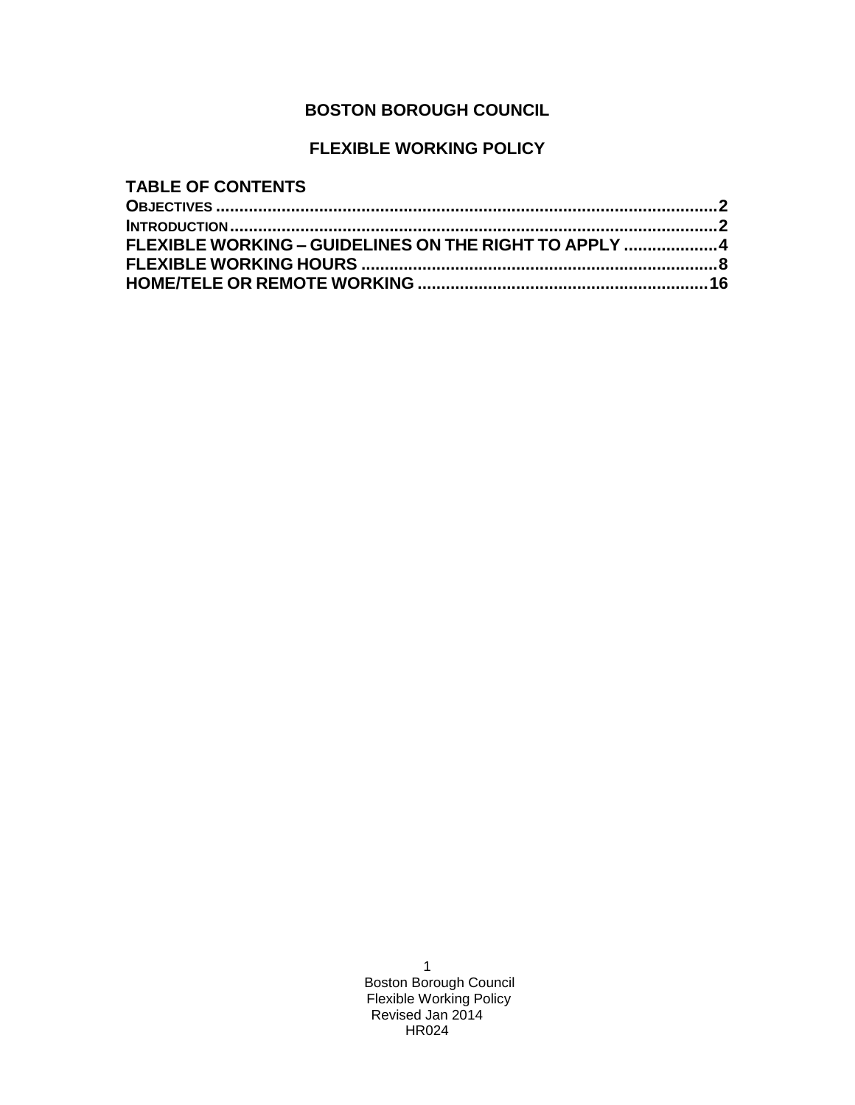# **BOSTON BOROUGH COUNCIL**

# **FLEXIBLE WORKING POLICY**

| <b>TABLE OF CONTENTS</b>                              |  |
|-------------------------------------------------------|--|
|                                                       |  |
|                                                       |  |
| FLEXIBLE WORKING – GUIDELINES ON THE RIGHT TO APPLY 4 |  |
|                                                       |  |
|                                                       |  |
|                                                       |  |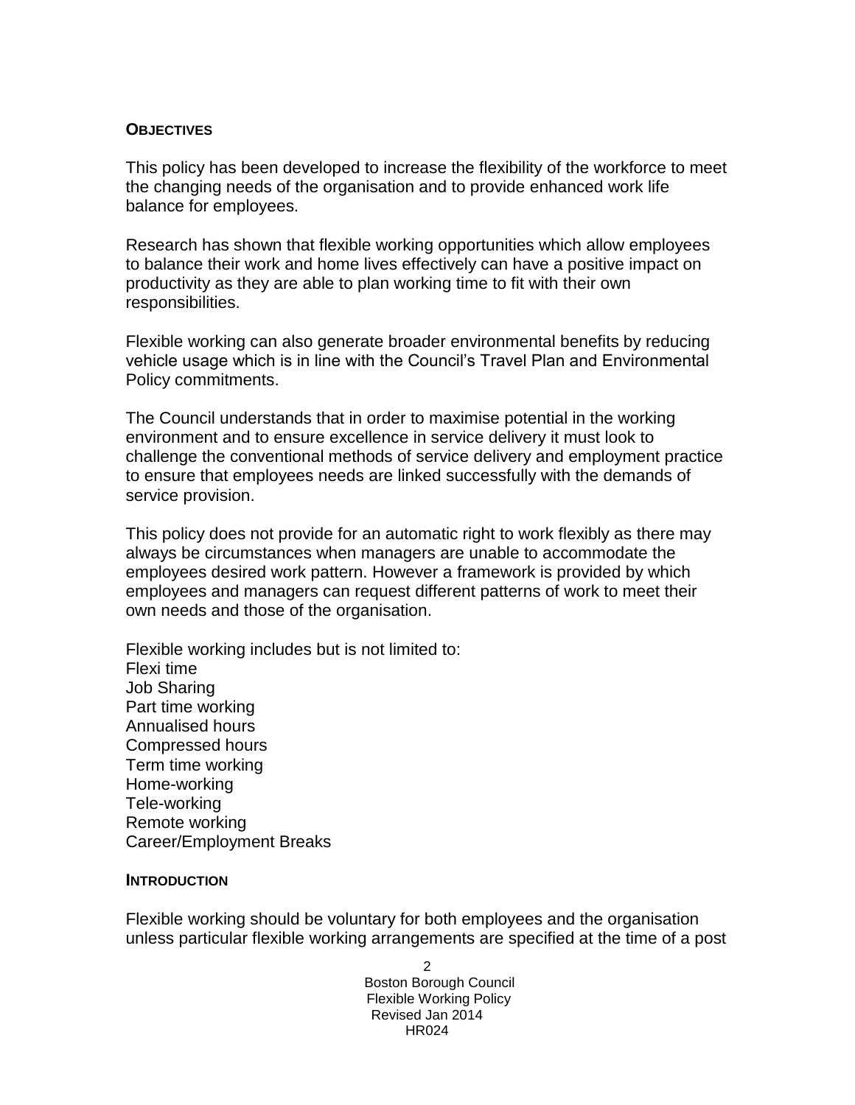### **OBJECTIVES**

This policy has been developed to increase the flexibility of the workforce to meet the changing needs of the organisation and to provide enhanced work life balance for employees.

Research has shown that flexible working opportunities which allow employees to balance their work and home lives effectively can have a positive impact on productivity as they are able to plan working time to fit with their own responsibilities.

Flexible working can also generate broader environmental benefits by reducing vehicle usage which is in line with the Council's Travel Plan and Environmental Policy commitments.

The Council understands that in order to maximise potential in the working environment and to ensure excellence in service delivery it must look to challenge the conventional methods of service delivery and employment practice to ensure that employees needs are linked successfully with the demands of service provision.

This policy does not provide for an automatic right to work flexibly as there may always be circumstances when managers are unable to accommodate the employees desired work pattern. However a framework is provided by which employees and managers can request different patterns of work to meet their own needs and those of the organisation.

Flexible working includes but is not limited to: Flexi time Job Sharing Part time working Annualised hours Compressed hours Term time working Home-working Tele-working Remote working Career/Employment Breaks

### **INTRODUCTION**

Flexible working should be voluntary for both employees and the organisation unless particular flexible working arrangements are specified at the time of a post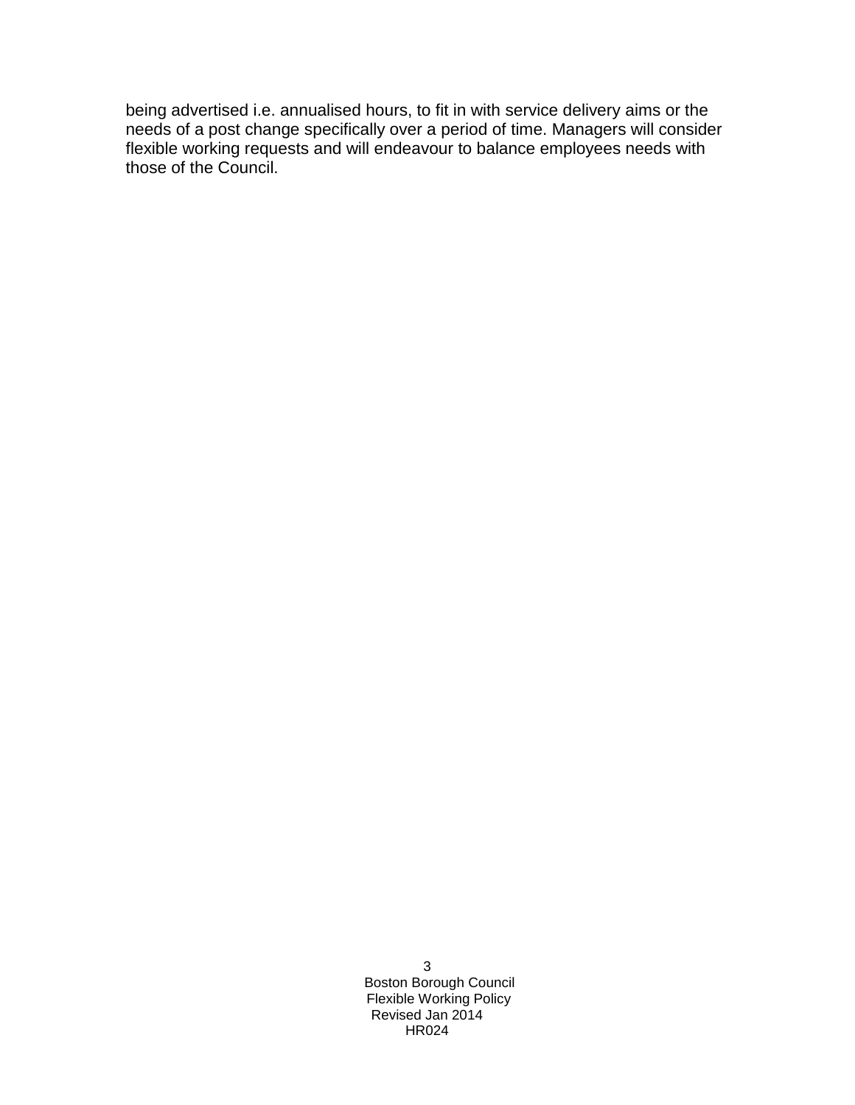being advertised i.e. annualised hours, to fit in with service delivery aims or the needs of a post change specifically over a period of time. Managers will consider flexible working requests and will endeavour to balance employees needs with those of the Council.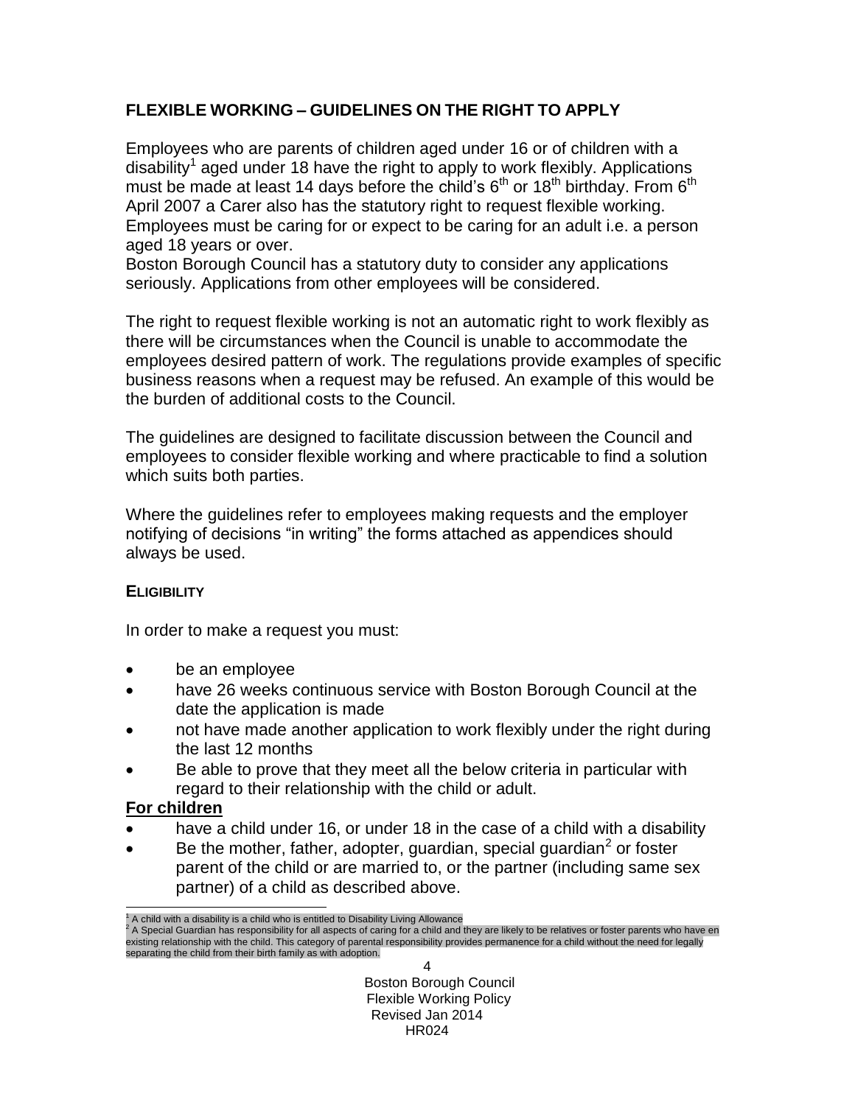# **FLEXIBLE WORKING – GUIDELINES ON THE RIGHT TO APPLY**

Employees who are parents of children aged under 16 or of children with a disability<sup>1</sup> aged under 18 have the right to apply to work flexibly. Applications must be made at least 14 days before the child's  $6<sup>th</sup>$  or 18<sup>th</sup> birthday. From  $6<sup>th</sup>$ April 2007 a Carer also has the statutory right to request flexible working. Employees must be caring for or expect to be caring for an adult i.e. a person aged 18 years or over.

Boston Borough Council has a statutory duty to consider any applications seriously. Applications from other employees will be considered.

The right to request flexible working is not an automatic right to work flexibly as there will be circumstances when the Council is unable to accommodate the employees desired pattern of work. The regulations provide examples of specific business reasons when a request may be refused. An example of this would be the burden of additional costs to the Council.

The guidelines are designed to facilitate discussion between the Council and employees to consider flexible working and where practicable to find a solution which suits both parties.

Where the guidelines refer to employees making requests and the employer notifying of decisions "in writing" the forms attached as appendices should always be used.

## **ELIGIBILITY**

In order to make a request you must:

- be an employee
- have 26 weeks continuous service with Boston Borough Council at the date the application is made
- not have made another application to work flexibly under the right during the last 12 months
- Be able to prove that they meet all the below criteria in particular with regard to their relationship with the child or adult.

# **For children**

- have a child under 16, or under 18 in the case of a child with a disability
- $\bullet$  Be the mother, father, adopter, guardian, special guardian<sup>2</sup> or foster parent of the child or are married to, or the partner (including same sex partner) of a child as described above.

l  $1$  A child with a disability is a child who is entitled to Disability Living Allowance

<sup>&</sup>lt;sup>2</sup> A Special Guardian has responsibility for all aspects of caring for a child and they are likely to be relatives or foster parents who have en existing relationship with the child. This category of parental responsibility provides permanence for a child without the need for legally separating the child from their birth family as with adoption.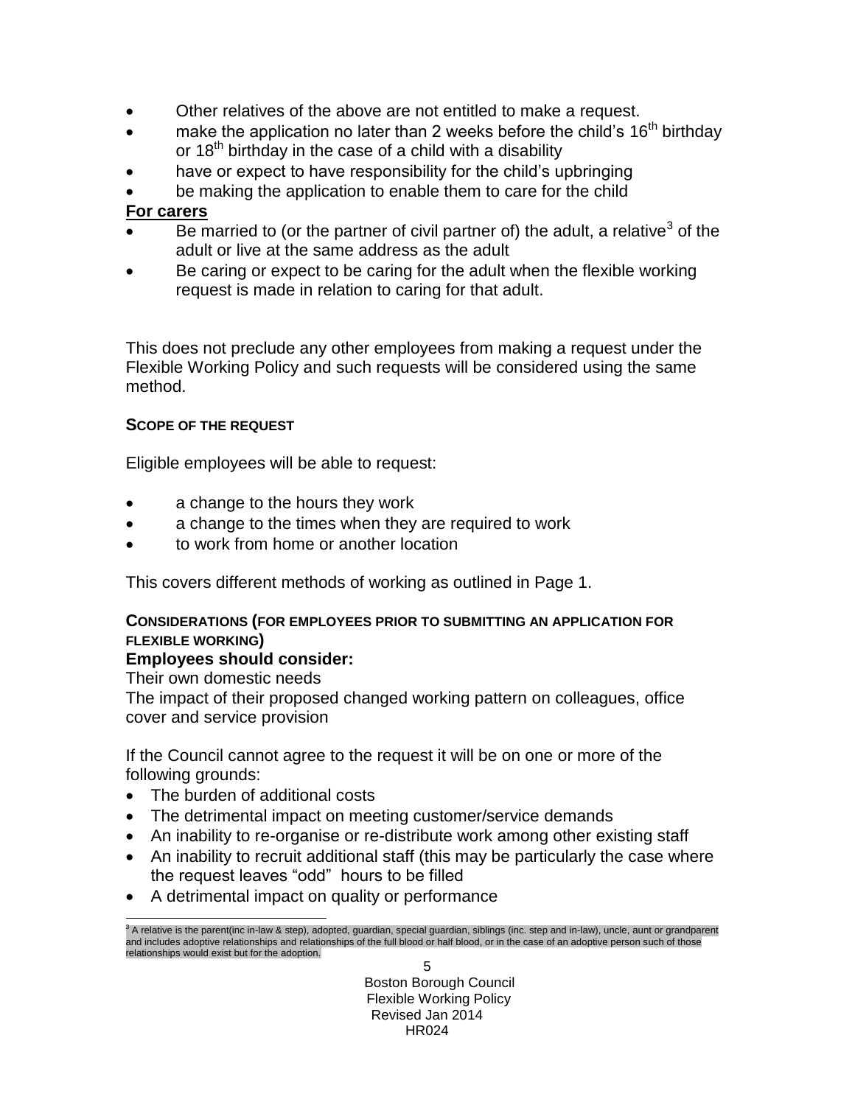- Other relatives of the above are not entitled to make a request.
- make the application no later than 2 weeks before the child's  $16<sup>th</sup>$  birthday or  $18<sup>th</sup>$  birthday in the case of a child with a disability
- have or expect to have responsibility for the child's upbringing
- be making the application to enable them to care for the child

# **For carers**

- $\bullet$  Be married to (or the partner of civil partner of) the adult, a relative<sup>3</sup> of the adult or live at the same address as the adult
- Be caring or expect to be caring for the adult when the flexible working request is made in relation to caring for that adult.

This does not preclude any other employees from making a request under the Flexible Working Policy and such requests will be considered using the same method.

## **SCOPE OF THE REQUEST**

Eligible employees will be able to request:

- a change to the hours they work
- a change to the times when they are required to work
- to work from home or another location

This covers different methods of working as outlined in Page 1.

## **CONSIDERATIONS (FOR EMPLOYEES PRIOR TO SUBMITTING AN APPLICATION FOR FLEXIBLE WORKING)**

## **Employees should consider:**

Their own domestic needs

 $\overline{a}$ 

The impact of their proposed changed working pattern on colleagues, office cover and service provision

If the Council cannot agree to the request it will be on one or more of the following grounds:

- The burden of additional costs
- The detrimental impact on meeting customer/service demands
- An inability to re-organise or re-distribute work among other existing staff
- An inability to recruit additional staff (this may be particularly the case where the request leaves "odd" hours to be filled
- A detrimental impact on quality or performance

 $3$  A relative is the parent(inc in-law & step), adopted, guardian, special guardian, siblings (inc. step and in-law), uncle, aunt or grandparent and includes adoptive relationships and relationships of the full blood or half blood, or in the case of an adoptive person such of those relationships would exist but for the adoption.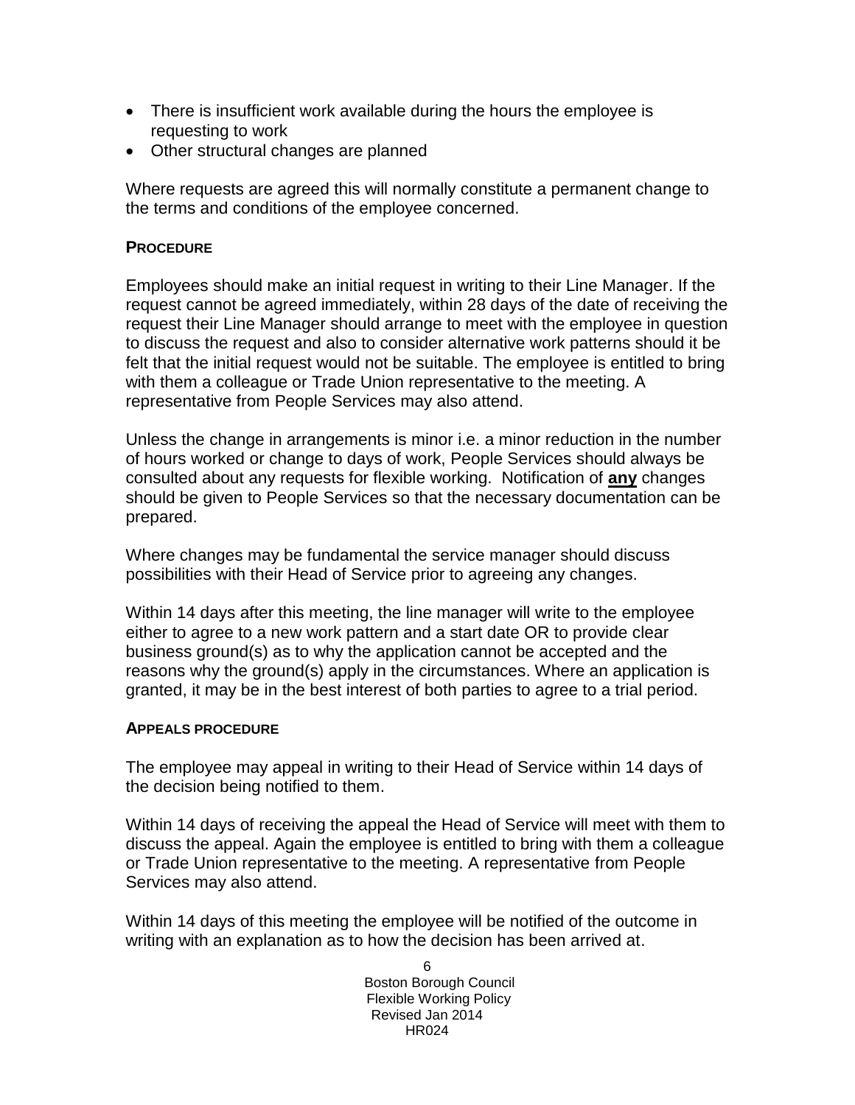- There is insufficient work available during the hours the employee is requesting to work
- Other structural changes are planned

Where requests are agreed this will normally constitute a permanent change to the terms and conditions of the employee concerned.

## **PROCEDURE**

Employees should make an initial request in writing to their Line Manager. If the request cannot be agreed immediately, within 28 days of the date of receiving the request their Line Manager should arrange to meet with the employee in question to discuss the request and also to consider alternative work patterns should it be felt that the initial request would not be suitable. The employee is entitled to bring with them a colleague or Trade Union representative to the meeting. A representative from People Services may also attend.

Unless the change in arrangements is minor i.e. a minor reduction in the number of hours worked or change to days of work, People Services should always be consulted about any requests for flexible working. Notification of **any** changes should be given to People Services so that the necessary documentation can be prepared.

Where changes may be fundamental the service manager should discuss possibilities with their Head of Service prior to agreeing any changes.

Within 14 days after this meeting, the line manager will write to the employee either to agree to a new work pattern and a start date OR to provide clear business ground(s) as to why the application cannot be accepted and the reasons why the ground(s) apply in the circumstances. Where an application is granted, it may be in the best interest of both parties to agree to a trial period.

## **APPEALS PROCEDURE**

The employee may appeal in writing to their Head of Service within 14 days of the decision being notified to them.

Within 14 days of receiving the appeal the Head of Service will meet with them to discuss the appeal. Again the employee is entitled to bring with them a colleague or Trade Union representative to the meeting. A representative from People Services may also attend.

Within 14 days of this meeting the employee will be notified of the outcome in writing with an explanation as to how the decision has been arrived at.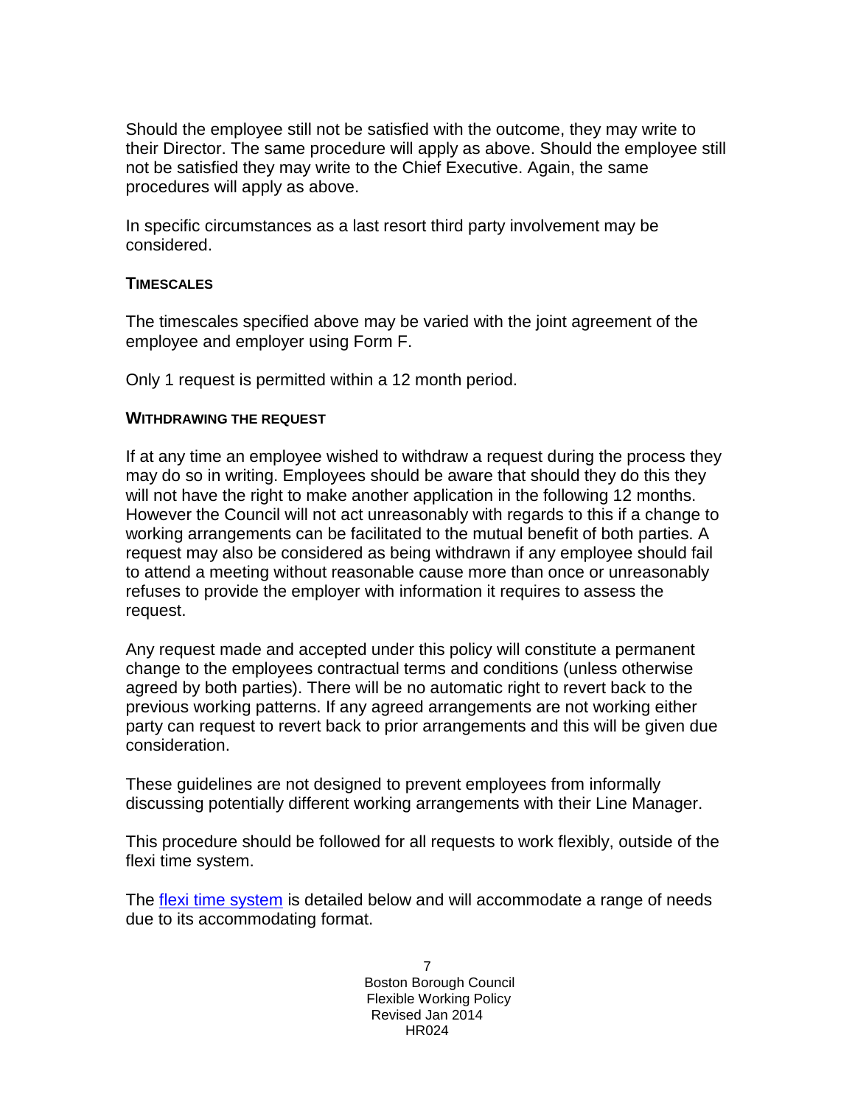Should the employee still not be satisfied with the outcome, they may write to their Director. The same procedure will apply as above. Should the employee still not be satisfied they may write to the Chief Executive. Again, the same procedures will apply as above.

In specific circumstances as a last resort third party involvement may be considered.

## **TIMESCALES**

The timescales specified above may be varied with the joint agreement of the employee and employer using Form F.

Only 1 request is permitted within a 12 month period.

### **WITHDRAWING THE REQUEST**

If at any time an employee wished to withdraw a request during the process they may do so in writing. Employees should be aware that should they do this they will not have the right to make another application in the following 12 months. However the Council will not act unreasonably with regards to this if a change to working arrangements can be facilitated to the mutual benefit of both parties. A request may also be considered as being withdrawn if any employee should fail to attend a meeting without reasonable cause more than once or unreasonably refuses to provide the employer with information it requires to assess the request.

Any request made and accepted under this policy will constitute a permanent change to the employees contractual terms and conditions (unless otherwise agreed by both parties). There will be no automatic right to revert back to the previous working patterns. If any agreed arrangements are not working either party can request to revert back to prior arrangements and this will be given due consideration.

These guidelines are not designed to prevent employees from informally discussing potentially different working arrangements with their Line Manager.

This procedure should be followed for all requests to work flexibly, outside of the flexi time system.

The [flexi time system](#page-7-0) is detailed below and will accommodate a range of needs due to its accommodating format.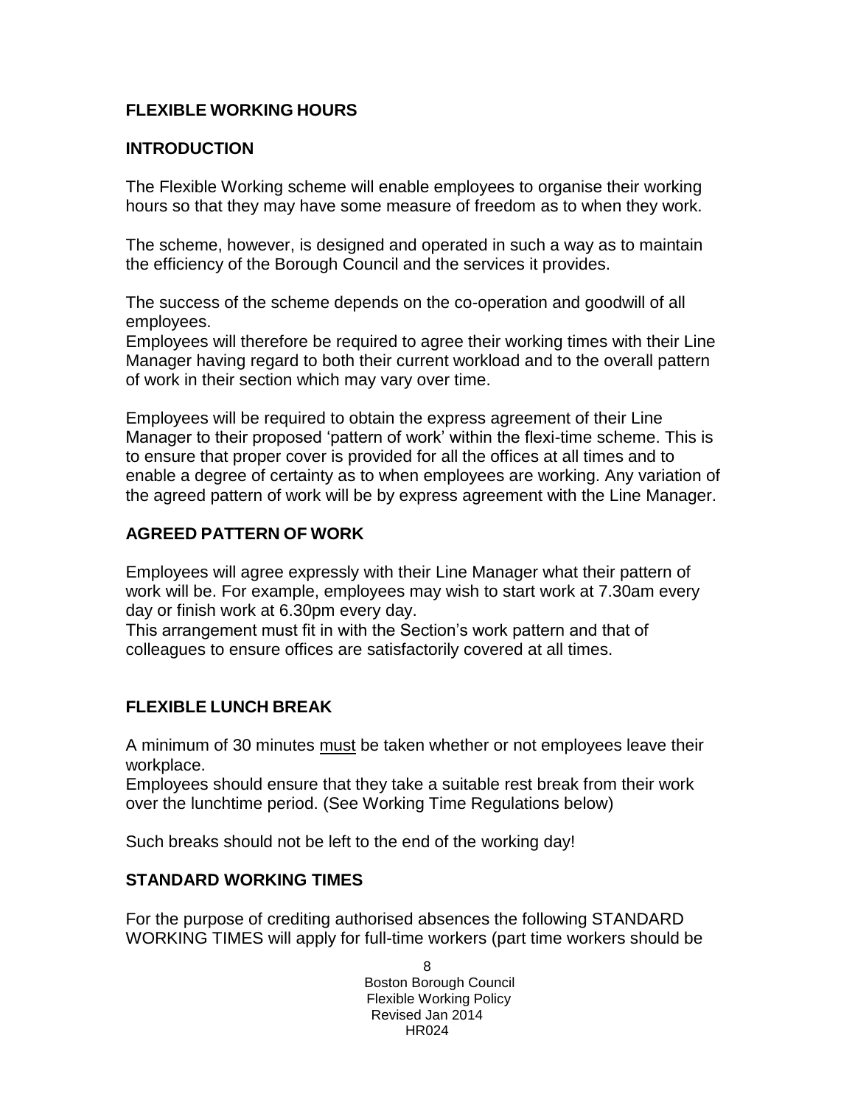# <span id="page-7-0"></span>**FLEXIBLE WORKING HOURS**

## **INTRODUCTION**

The Flexible Working scheme will enable employees to organise their working hours so that they may have some measure of freedom as to when they work.

The scheme, however, is designed and operated in such a way as to maintain the efficiency of the Borough Council and the services it provides.

The success of the scheme depends on the co-operation and goodwill of all employees.

Employees will therefore be required to agree their working times with their Line Manager having regard to both their current workload and to the overall pattern of work in their section which may vary over time.

Employees will be required to obtain the express agreement of their Line Manager to their proposed 'pattern of work' within the flexi-time scheme. This is to ensure that proper cover is provided for all the offices at all times and to enable a degree of certainty as to when employees are working. Any variation of the agreed pattern of work will be by express agreement with the Line Manager.

## **AGREED PATTERN OF WORK**

Employees will agree expressly with their Line Manager what their pattern of work will be. For example, employees may wish to start work at 7.30am every day or finish work at 6.30pm every day.

This arrangement must fit in with the Section's work pattern and that of colleagues to ensure offices are satisfactorily covered at all times.

## **FLEXIBLE LUNCH BREAK**

A minimum of 30 minutes must be taken whether or not employees leave their workplace.

Employees should ensure that they take a suitable rest break from their work over the lunchtime period. (See Working Time Regulations below)

Such breaks should not be left to the end of the working day!

### **STANDARD WORKING TIMES**

For the purpose of crediting authorised absences the following STANDARD WORKING TIMES will apply for full-time workers (part time workers should be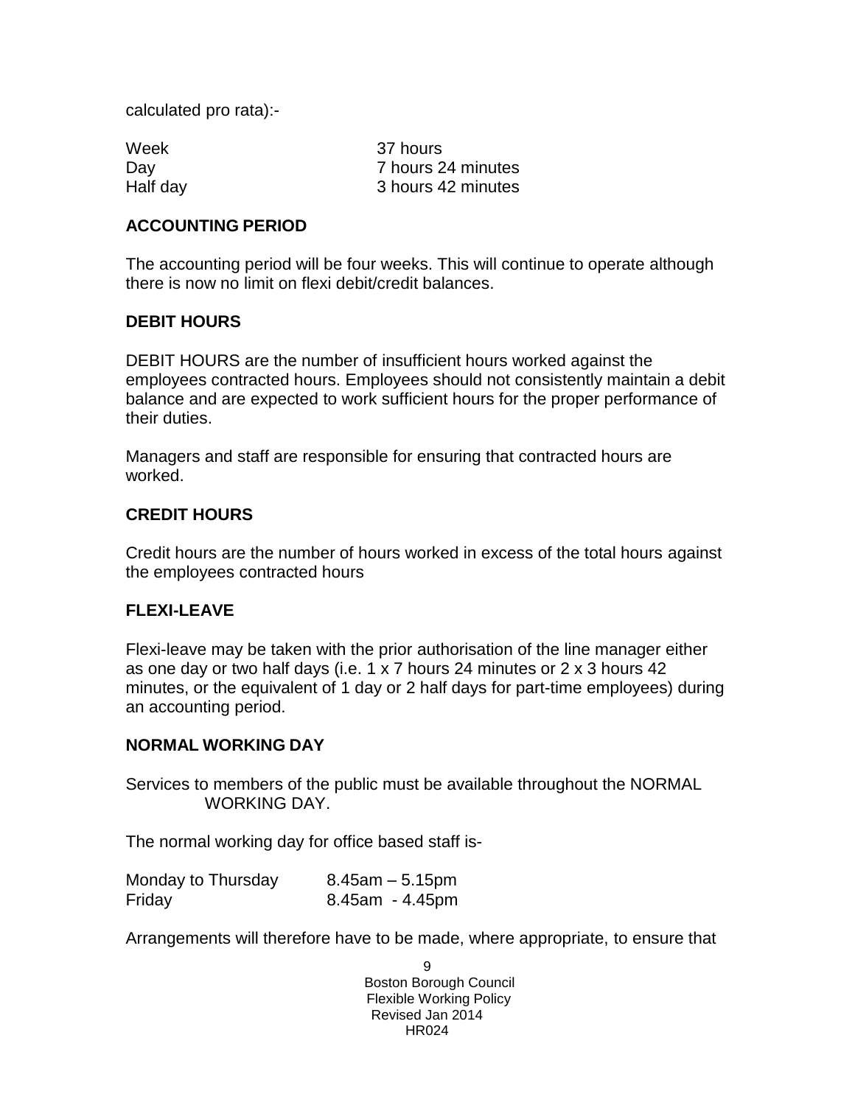calculated pro rata):-

Week 37 hours Day **7 hours 24 minutes** Half day 3 hours 42 minutes

## **ACCOUNTING PERIOD**

The accounting period will be four weeks. This will continue to operate although there is now no limit on flexi debit/credit balances.

## **DEBIT HOURS**

DEBIT HOURS are the number of insufficient hours worked against the employees contracted hours. Employees should not consistently maintain a debit balance and are expected to work sufficient hours for the proper performance of their duties.

Managers and staff are responsible for ensuring that contracted hours are worked.

## **CREDIT HOURS**

Credit hours are the number of hours worked in excess of the total hours against the employees contracted hours

## **FLEXI-LEAVE**

Flexi-leave may be taken with the prior authorisation of the line manager either as one day or two half days (i.e. 1 x 7 hours 24 minutes or 2 x 3 hours 42 minutes, or the equivalent of 1 day or 2 half days for part-time employees) during an accounting period.

### **NORMAL WORKING DAY**

Services to members of the public must be available throughout the NORMAL WORKING DAY.

The normal working day for office based staff is-

| Monday to Thursday | $8.45$ am $-5.15$ pm  |
|--------------------|-----------------------|
| Friday             | $8.45$ am - $4.45$ pm |

Arrangements will therefore have to be made, where appropriate, to ensure that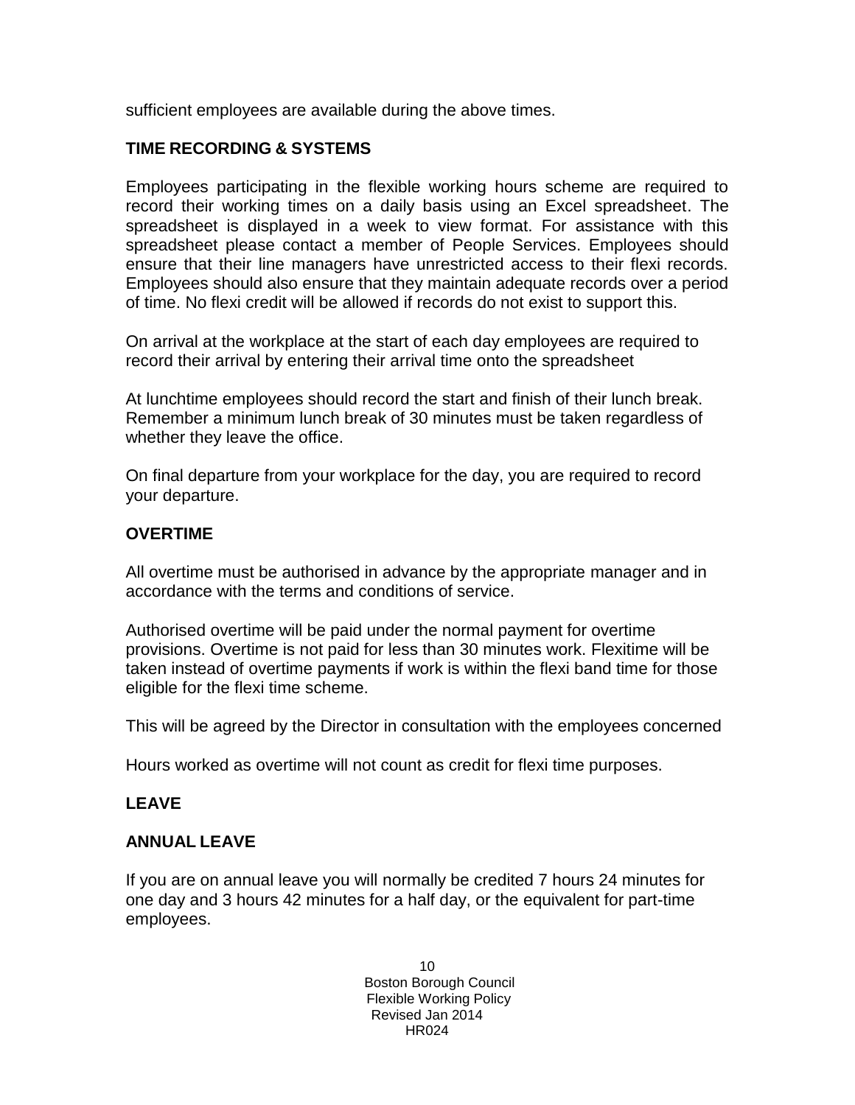sufficient employees are available during the above times.

## **TIME RECORDING & SYSTEMS**

Employees participating in the flexible working hours scheme are required to record their working times on a daily basis using an Excel spreadsheet. The spreadsheet is displayed in a week to view format. For assistance with this spreadsheet please contact a member of People Services. Employees should ensure that their line managers have unrestricted access to their flexi records. Employees should also ensure that they maintain adequate records over a period of time. No flexi credit will be allowed if records do not exist to support this.

On arrival at the workplace at the start of each day employees are required to record their arrival by entering their arrival time onto the spreadsheet

At lunchtime employees should record the start and finish of their lunch break. Remember a minimum lunch break of 30 minutes must be taken regardless of whether they leave the office.

On final departure from your workplace for the day, you are required to record your departure.

## **OVERTIME**

All overtime must be authorised in advance by the appropriate manager and in accordance with the terms and conditions of service.

Authorised overtime will be paid under the normal payment for overtime provisions. Overtime is not paid for less than 30 minutes work. Flexitime will be taken instead of overtime payments if work is within the flexi band time for those eligible for the flexi time scheme.

This will be agreed by the Director in consultation with the employees concerned

Hours worked as overtime will not count as credit for flexi time purposes.

## **LEAVE**

## **ANNUAL LEAVE**

If you are on annual leave you will normally be credited 7 hours 24 minutes for one day and 3 hours 42 minutes for a half day, or the equivalent for part-time employees.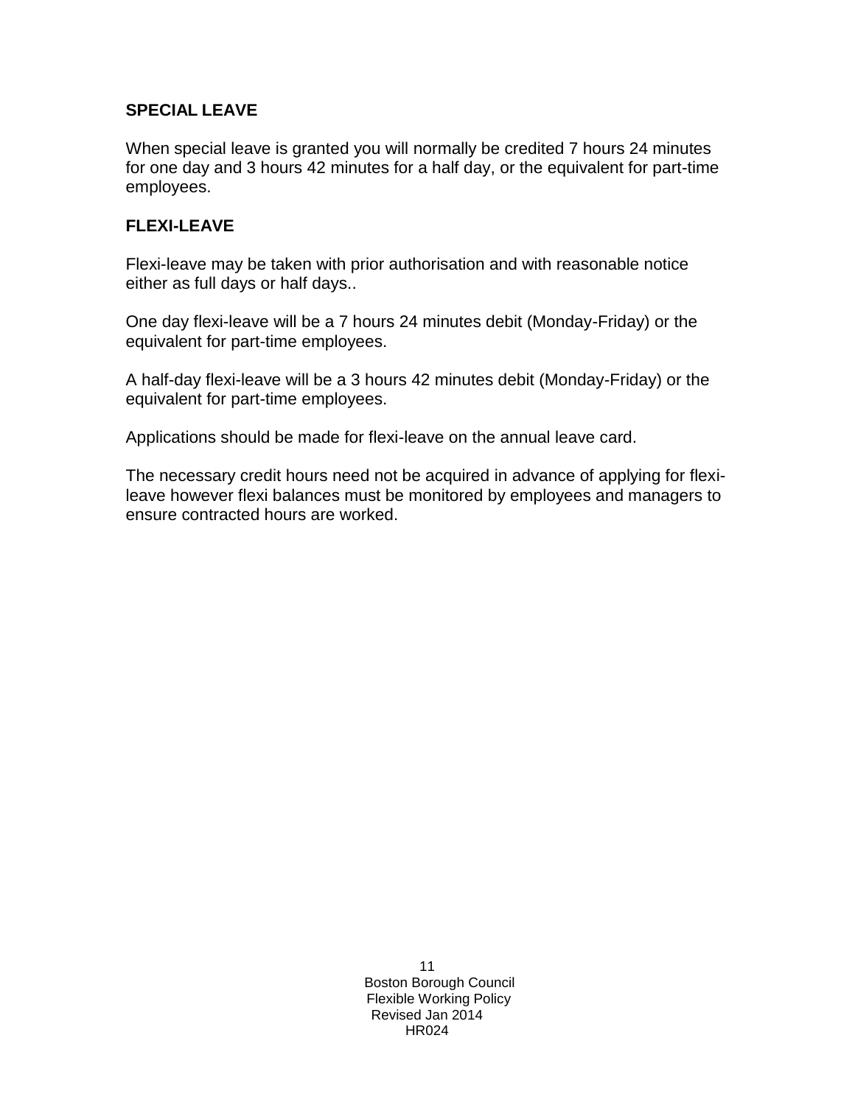# **SPECIAL LEAVE**

When special leave is granted you will normally be credited 7 hours 24 minutes for one day and 3 hours 42 minutes for a half day, or the equivalent for part-time employees.

## **FLEXI-LEAVE**

Flexi-leave may be taken with prior authorisation and with reasonable notice either as full days or half days..

One day flexi-leave will be a 7 hours 24 minutes debit (Monday-Friday) or the equivalent for part-time employees.

A half-day flexi-leave will be a 3 hours 42 minutes debit (Monday-Friday) or the equivalent for part-time employees.

Applications should be made for flexi-leave on the annual leave card.

The necessary credit hours need not be acquired in advance of applying for flexileave however flexi balances must be monitored by employees and managers to ensure contracted hours are worked.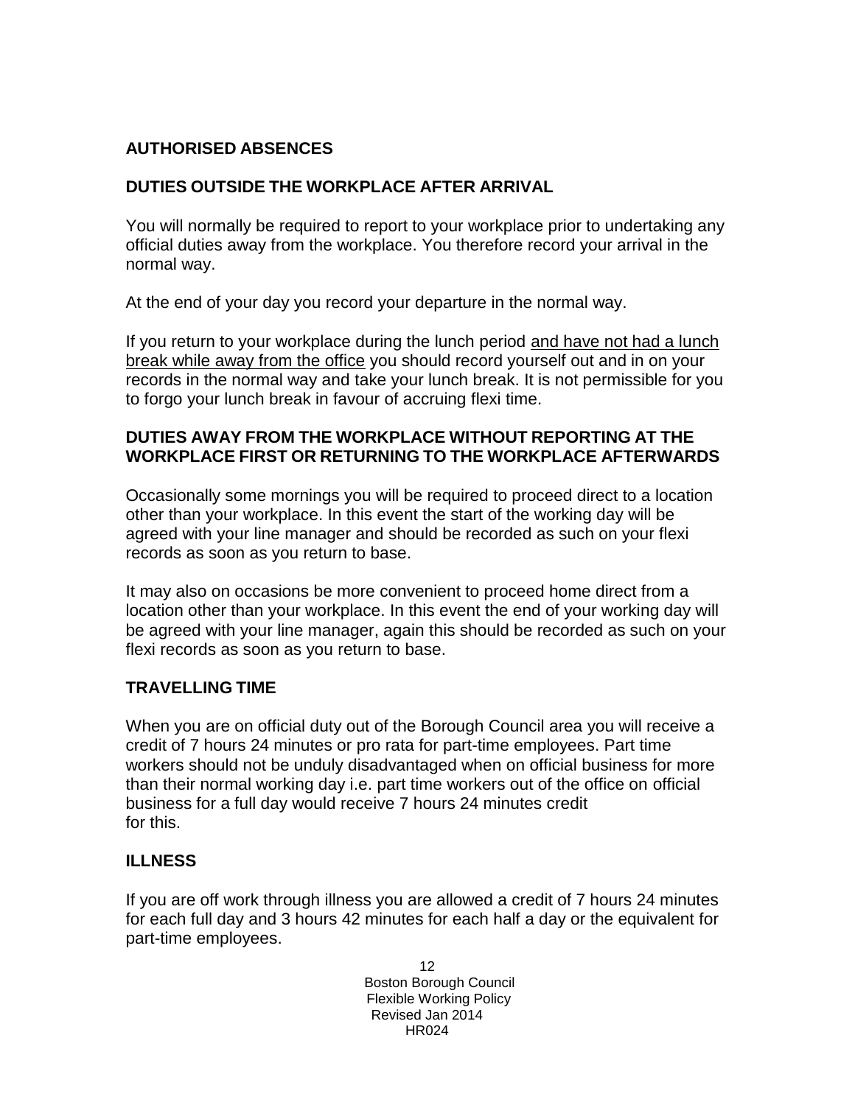# **AUTHORISED ABSENCES**

# **DUTIES OUTSIDE THE WORKPLACE AFTER ARRIVAL**

You will normally be required to report to your workplace prior to undertaking any official duties away from the workplace. You therefore record your arrival in the normal way.

At the end of your day you record your departure in the normal way.

If you return to your workplace during the lunch period and have not had a lunch break while away from the office you should record yourself out and in on your records in the normal way and take your lunch break. It is not permissible for you to forgo your lunch break in favour of accruing flexi time.

# **DUTIES AWAY FROM THE WORKPLACE WITHOUT REPORTING AT THE WORKPLACE FIRST OR RETURNING TO THE WORKPLACE AFTERWARDS**

Occasionally some mornings you will be required to proceed direct to a location other than your workplace. In this event the start of the working day will be agreed with your line manager and should be recorded as such on your flexi records as soon as you return to base.

It may also on occasions be more convenient to proceed home direct from a location other than your workplace. In this event the end of your working day will be agreed with your line manager, again this should be recorded as such on your flexi records as soon as you return to base.

# **TRAVELLING TIME**

When you are on official duty out of the Borough Council area you will receive a credit of 7 hours 24 minutes or pro rata for part-time employees. Part time workers should not be unduly disadvantaged when on official business for more than their normal working day i.e. part time workers out of the office on official business for a full day would receive 7 hours 24 minutes credit for this.

# **ILLNESS**

If you are off work through illness you are allowed a credit of 7 hours 24 minutes for each full day and 3 hours 42 minutes for each half a day or the equivalent for part-time employees.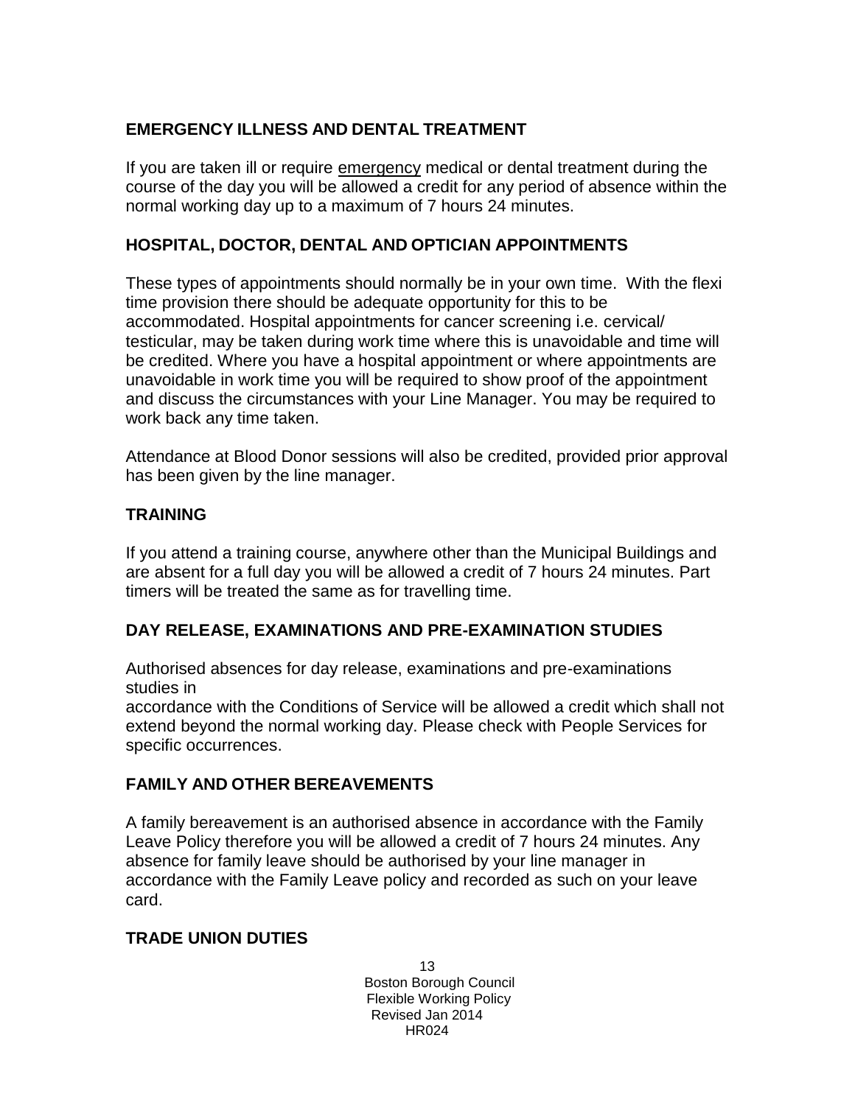# **EMERGENCY ILLNESS AND DENTAL TREATMENT**

If you are taken ill or require emergency medical or dental treatment during the course of the day you will be allowed a credit for any period of absence within the normal working day up to a maximum of 7 hours 24 minutes.

# **HOSPITAL, DOCTOR, DENTAL AND OPTICIAN APPOINTMENTS**

These types of appointments should normally be in your own time. With the flexi time provision there should be adequate opportunity for this to be accommodated. Hospital appointments for cancer screening i.e. cervical/ testicular, may be taken during work time where this is unavoidable and time will be credited. Where you have a hospital appointment or where appointments are unavoidable in work time you will be required to show proof of the appointment and discuss the circumstances with your Line Manager. You may be required to work back any time taken.

Attendance at Blood Donor sessions will also be credited, provided prior approval has been given by the line manager.

# **TRAINING**

If you attend a training course, anywhere other than the Municipal Buildings and are absent for a full day you will be allowed a credit of 7 hours 24 minutes. Part timers will be treated the same as for travelling time.

# **DAY RELEASE, EXAMINATIONS AND PRE-EXAMINATION STUDIES**

Authorised absences for day release, examinations and pre-examinations studies in

accordance with the Conditions of Service will be allowed a credit which shall not extend beyond the normal working day. Please check with People Services for specific occurrences.

# **FAMILY AND OTHER BEREAVEMENTS**

A family bereavement is an authorised absence in accordance with the Family Leave Policy therefore you will be allowed a credit of 7 hours 24 minutes. Any absence for family leave should be authorised by your line manager in accordance with the Family Leave policy and recorded as such on your leave card.

# **TRADE UNION DUTIES**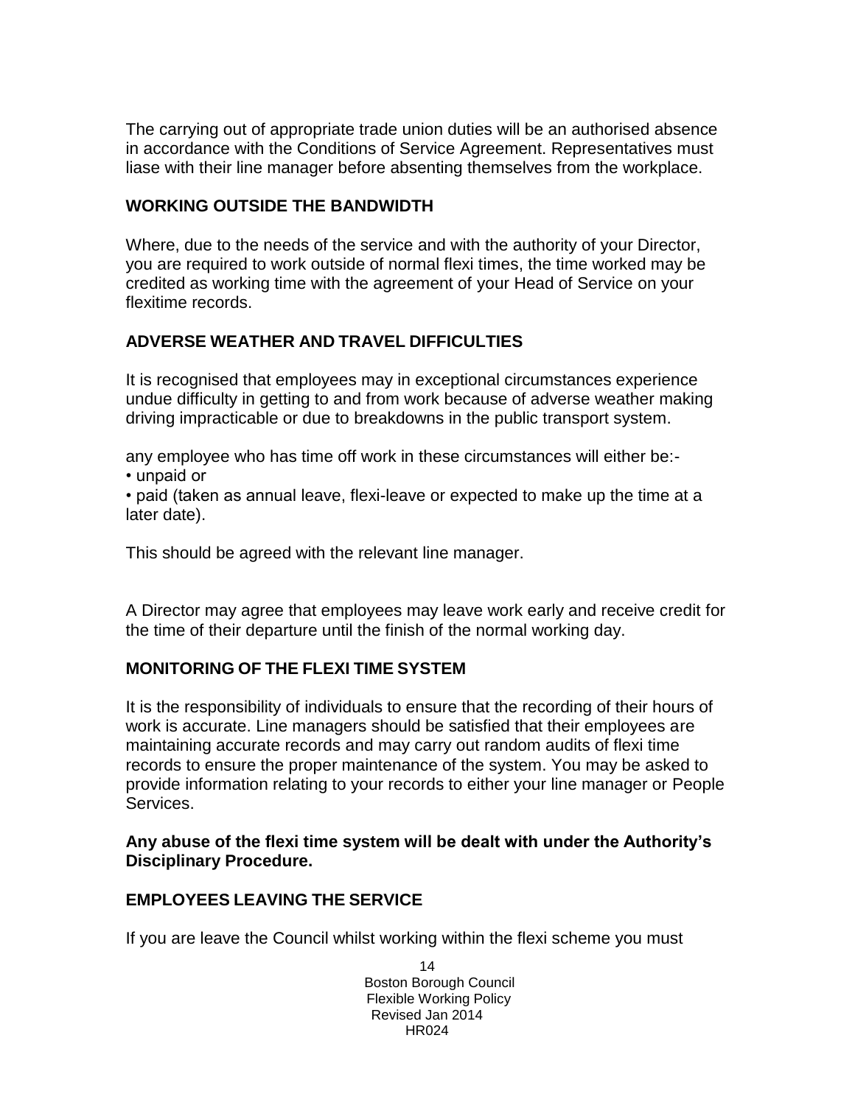The carrying out of appropriate trade union duties will be an authorised absence in accordance with the Conditions of Service Agreement. Representatives must liase with their line manager before absenting themselves from the workplace.

## **WORKING OUTSIDE THE BANDWIDTH**

Where, due to the needs of the service and with the authority of your Director, you are required to work outside of normal flexi times, the time worked may be credited as working time with the agreement of your Head of Service on your flexitime records.

# **ADVERSE WEATHER AND TRAVEL DIFFICULTIES**

It is recognised that employees may in exceptional circumstances experience undue difficulty in getting to and from work because of adverse weather making driving impracticable or due to breakdowns in the public transport system.

any employee who has time off work in these circumstances will either be:- • unpaid or

• paid (taken as annual leave, flexi-leave or expected to make up the time at a later date).

This should be agreed with the relevant line manager.

A Director may agree that employees may leave work early and receive credit for the time of their departure until the finish of the normal working day.

# **MONITORING OF THE FLEXI TIME SYSTEM**

It is the responsibility of individuals to ensure that the recording of their hours of work is accurate. Line managers should be satisfied that their employees are maintaining accurate records and may carry out random audits of flexi time records to ensure the proper maintenance of the system. You may be asked to provide information relating to your records to either your line manager or People Services.

## **Any abuse of the flexi time system will be dealt with under the Authority's Disciplinary Procedure.**

# **EMPLOYEES LEAVING THE SERVICE**

If you are leave the Council whilst working within the flexi scheme you must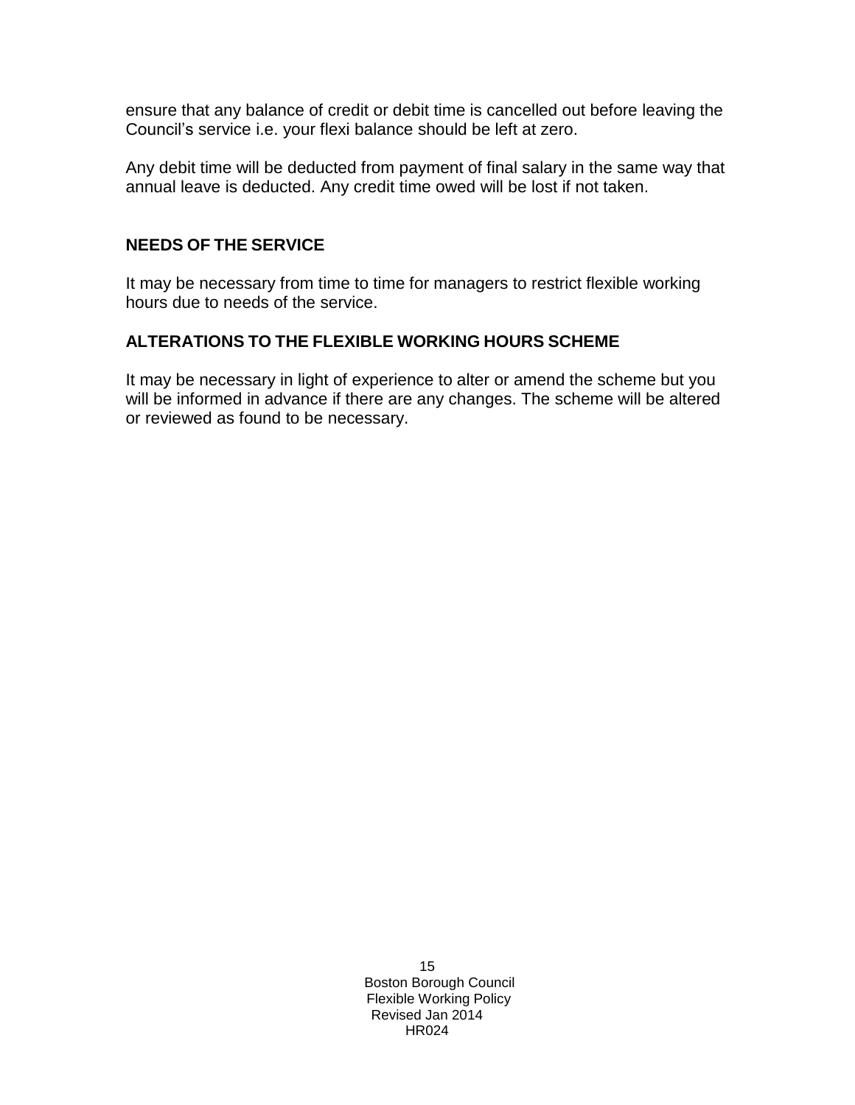ensure that any balance of credit or debit time is cancelled out before leaving the Council's service i.e. your flexi balance should be left at zero.

Any debit time will be deducted from payment of final salary in the same way that annual leave is deducted. Any credit time owed will be lost if not taken.

# **NEEDS OF THE SERVICE**

It may be necessary from time to time for managers to restrict flexible working hours due to needs of the service.

# **ALTERATIONS TO THE FLEXIBLE WORKING HOURS SCHEME**

It may be necessary in light of experience to alter or amend the scheme but you will be informed in advance if there are any changes. The scheme will be altered or reviewed as found to be necessary.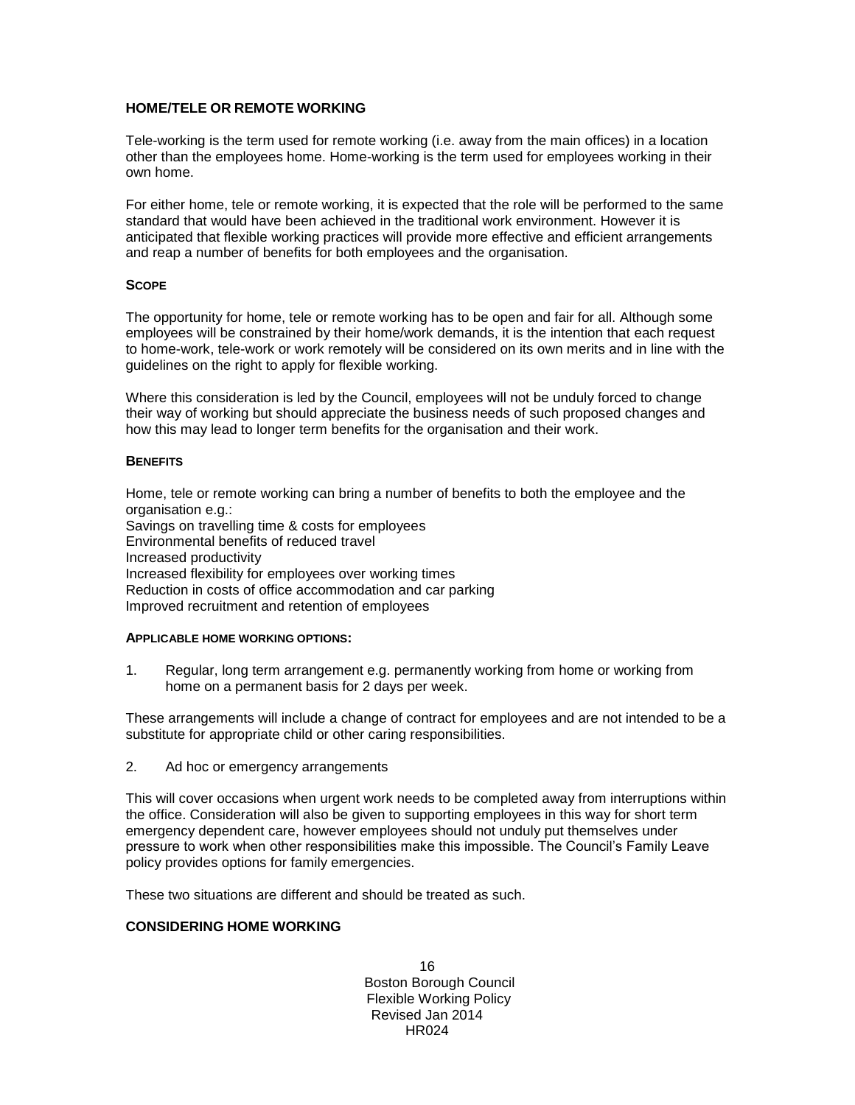### **HOME/TELE OR REMOTE WORKING**

Tele-working is the term used for remote working (i.e. away from the main offices) in a location other than the employees home. Home-working is the term used for employees working in their own home.

For either home, tele or remote working, it is expected that the role will be performed to the same standard that would have been achieved in the traditional work environment. However it is anticipated that flexible working practices will provide more effective and efficient arrangements and reap a number of benefits for both employees and the organisation.

### **SCOPE**

The opportunity for home, tele or remote working has to be open and fair for all. Although some employees will be constrained by their home/work demands, it is the intention that each request to home-work, tele-work or work remotely will be considered on its own merits and in line with the guidelines on the right to apply for flexible working.

Where this consideration is led by the Council, employees will not be unduly forced to change their way of working but should appreciate the business needs of such proposed changes and how this may lead to longer term benefits for the organisation and their work.

### **BENEFITS**

Home, tele or remote working can bring a number of benefits to both the employee and the organisation e.g.:

Savings on travelling time & costs for employees Environmental benefits of reduced travel Increased productivity Increased flexibility for employees over working times Reduction in costs of office accommodation and car parking Improved recruitment and retention of employees

### **APPLICABLE HOME WORKING OPTIONS:**

1. Regular, long term arrangement e.g. permanently working from home or working from home on a permanent basis for 2 days per week.

These arrangements will include a change of contract for employees and are not intended to be a substitute for appropriate child or other caring responsibilities.

2. Ad hoc or emergency arrangements

This will cover occasions when urgent work needs to be completed away from interruptions within the office. Consideration will also be given to supporting employees in this way for short term emergency dependent care, however employees should not unduly put themselves under pressure to work when other responsibilities make this impossible. The Council's Family Leave policy provides options for family emergencies.

These two situations are different and should be treated as such.

### **CONSIDERING HOME WORKING**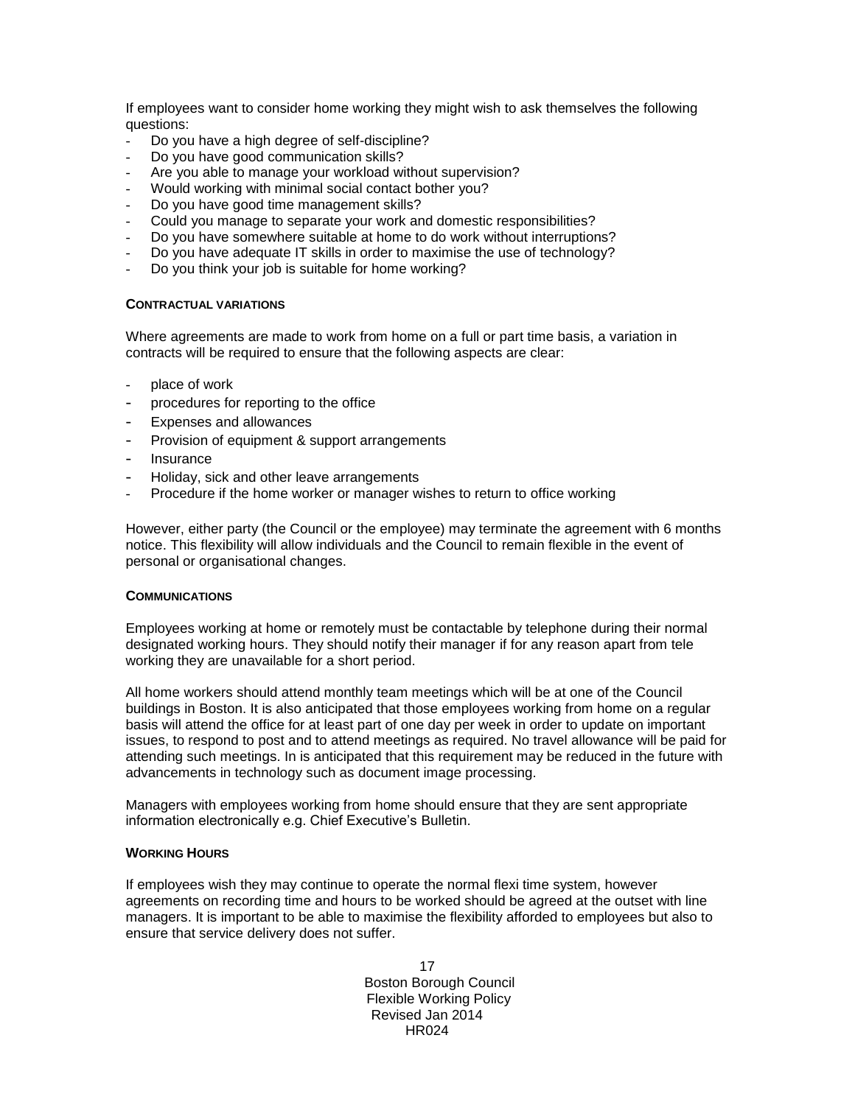If employees want to consider home working they might wish to ask themselves the following questions:

- Do you have a high degree of self-discipline?
- Do you have good communication skills?
- Are you able to manage your workload without supervision?
- Would working with minimal social contact bother you?
- Do you have good time management skills?
- Could you manage to separate your work and domestic responsibilities?
- Do you have somewhere suitable at home to do work without interruptions?
- Do you have adequate IT skills in order to maximise the use of technology?
- Do you think your job is suitable for home working?

### **CONTRACTUAL VARIATIONS**

Where agreements are made to work from home on a full or part time basis, a variation in contracts will be required to ensure that the following aspects are clear:

- place of work
- procedures for reporting to the office
- Expenses and allowances
- Provision of equipment & support arrangements
- Insurance
- Holiday, sick and other leave arrangements
- Procedure if the home worker or manager wishes to return to office working

However, either party (the Council or the employee) may terminate the agreement with 6 months notice. This flexibility will allow individuals and the Council to remain flexible in the event of personal or organisational changes.

### **COMMUNICATIONS**

Employees working at home or remotely must be contactable by telephone during their normal designated working hours. They should notify their manager if for any reason apart from tele working they are unavailable for a short period.

All home workers should attend monthly team meetings which will be at one of the Council buildings in Boston. It is also anticipated that those employees working from home on a regular basis will attend the office for at least part of one day per week in order to update on important issues, to respond to post and to attend meetings as required. No travel allowance will be paid for attending such meetings. In is anticipated that this requirement may be reduced in the future with advancements in technology such as document image processing.

Managers with employees working from home should ensure that they are sent appropriate information electronically e.g. Chief Executive's Bulletin.

### **WORKING HOURS**

If employees wish they may continue to operate the normal flexi time system, however agreements on recording time and hours to be worked should be agreed at the outset with line managers. It is important to be able to maximise the flexibility afforded to employees but also to ensure that service delivery does not suffer.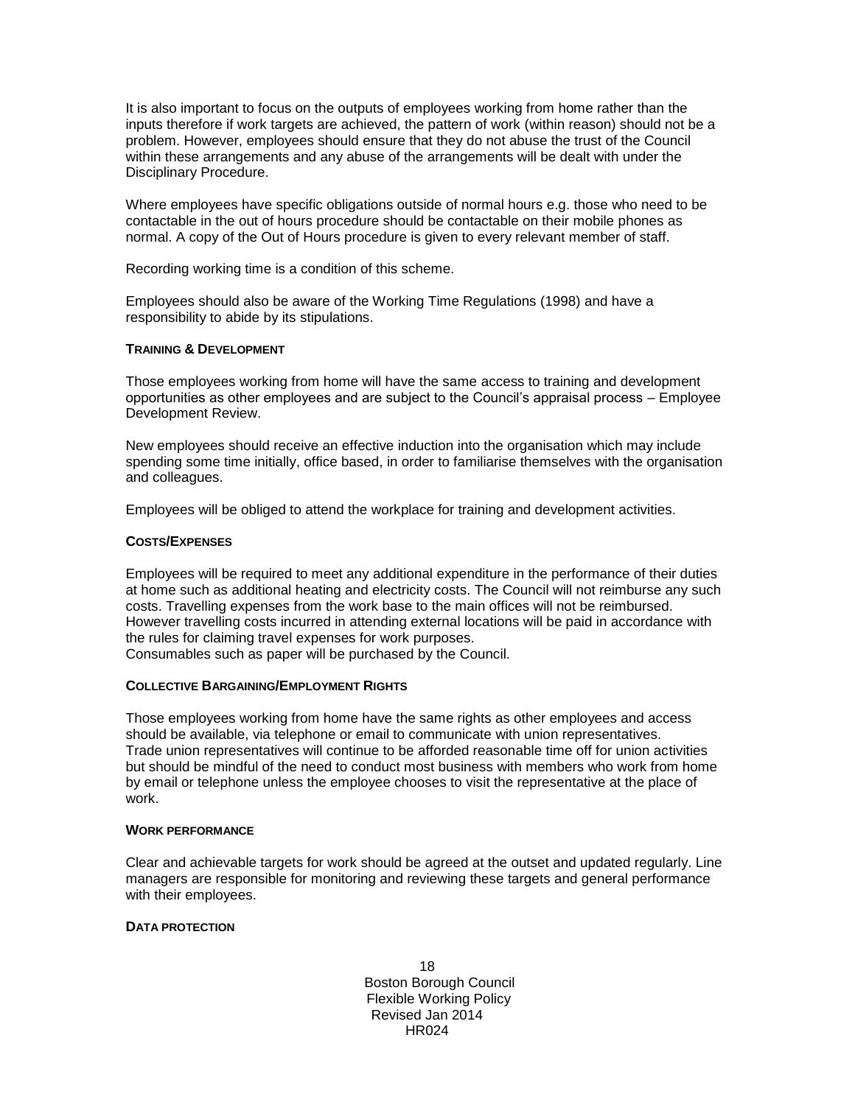It is also important to focus on the outputs of employees working from home rather than the inputs therefore if work targets are achieved, the pattern of work (within reason) should not be a problem. However, employees should ensure that they do not abuse the trust of the Council within these arrangements and any abuse of the arrangements will be dealt with under the Disciplinary Procedure.

Where employees have specific obligations outside of normal hours e.g. those who need to be contactable in the out of hours procedure should be contactable on their mobile phones as normal. A copy of the Out of Hours procedure is given to every relevant member of staff.

Recording working time is a condition of this scheme.

Employees should also be aware of the Working Time Regulations (1998) and have a responsibility to abide by its stipulations.

### **TRAINING & DEVELOPMENT**

Those employees working from home will have the same access to training and development opportunities as other employees and are subject to the Council's appraisal process – Employee Development Review.

New employees should receive an effective induction into the organisation which may include spending some time initially, office based, in order to familiarise themselves with the organisation and colleagues.

Employees will be obliged to attend the workplace for training and development activities.

### **COSTS/EXPENSES**

Employees will be required to meet any additional expenditure in the performance of their duties at home such as additional heating and electricity costs. The Council will not reimburse any such costs. Travelling expenses from the work base to the main offices will not be reimbursed. However travelling costs incurred in attending external locations will be paid in accordance with the rules for claiming travel expenses for work purposes.

Consumables such as paper will be purchased by the Council.

### **COLLECTIVE BARGAINING/EMPLOYMENT RIGHTS**

Those employees working from home have the same rights as other employees and access should be available, via telephone or email to communicate with union representatives. Trade union representatives will continue to be afforded reasonable time off for union activities but should be mindful of the need to conduct most business with members who work from home by email or telephone unless the employee chooses to visit the representative at the place of work.

#### **WORK PERFORMANCE**

Clear and achievable targets for work should be agreed at the outset and updated regularly. Line managers are responsible for monitoring and reviewing these targets and general performance with their employees.

### **DATA PROTECTION**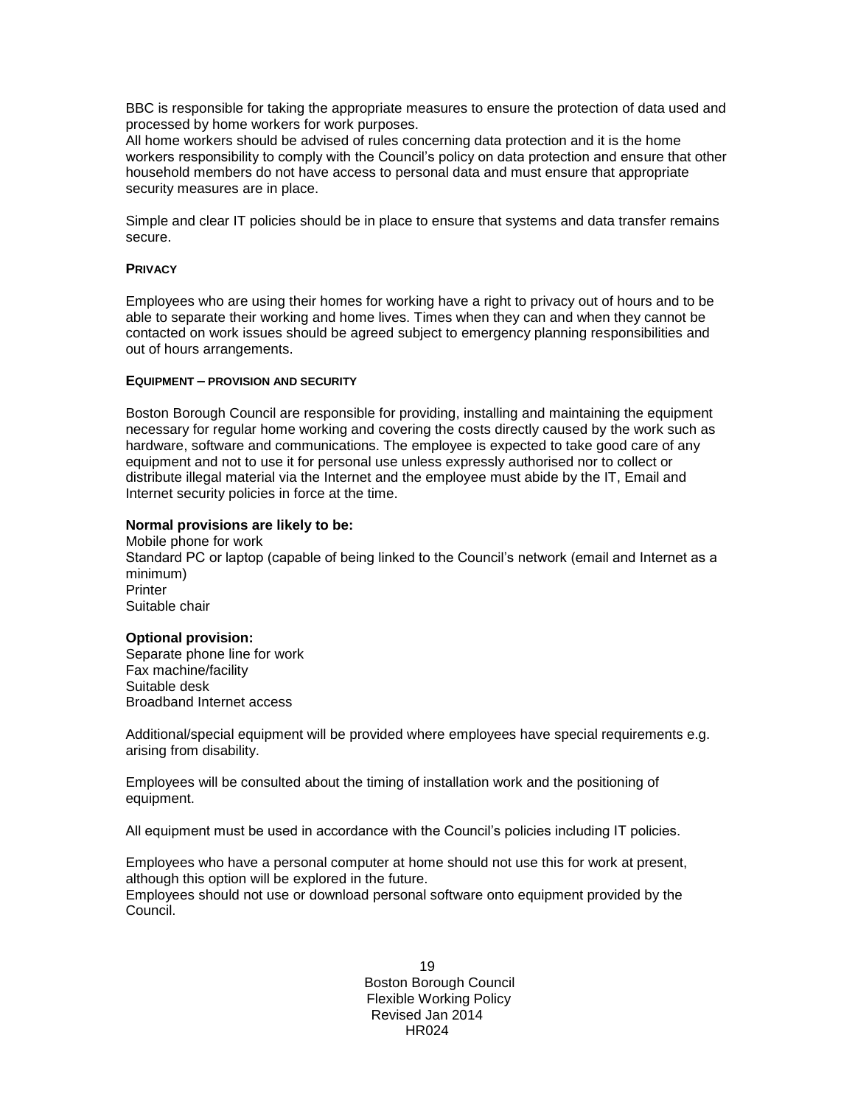BBC is responsible for taking the appropriate measures to ensure the protection of data used and processed by home workers for work purposes.

All home workers should be advised of rules concerning data protection and it is the home workers responsibility to comply with the Council's policy on data protection and ensure that other household members do not have access to personal data and must ensure that appropriate security measures are in place.

Simple and clear IT policies should be in place to ensure that systems and data transfer remains secure.

### **PRIVACY**

Employees who are using their homes for working have a right to privacy out of hours and to be able to separate their working and home lives. Times when they can and when they cannot be contacted on work issues should be agreed subject to emergency planning responsibilities and out of hours arrangements.

#### **EQUIPMENT – PROVISION AND SECURITY**

Boston Borough Council are responsible for providing, installing and maintaining the equipment necessary for regular home working and covering the costs directly caused by the work such as hardware, software and communications. The employee is expected to take good care of any equipment and not to use it for personal use unless expressly authorised nor to collect or distribute illegal material via the Internet and the employee must abide by the IT, Email and Internet security policies in force at the time.

### **Normal provisions are likely to be:**

Mobile phone for work Standard PC or laptop (capable of being linked to the Council's network (email and Internet as a minimum) **Printer** Suitable chair

#### **Optional provision:**

Separate phone line for work Fax machine/facility Suitable desk Broadband Internet access

Additional/special equipment will be provided where employees have special requirements e.g. arising from disability.

Employees will be consulted about the timing of installation work and the positioning of equipment.

All equipment must be used in accordance with the Council's policies including IT policies.

Employees who have a personal computer at home should not use this for work at present, although this option will be explored in the future.

Employees should not use or download personal software onto equipment provided by the Council.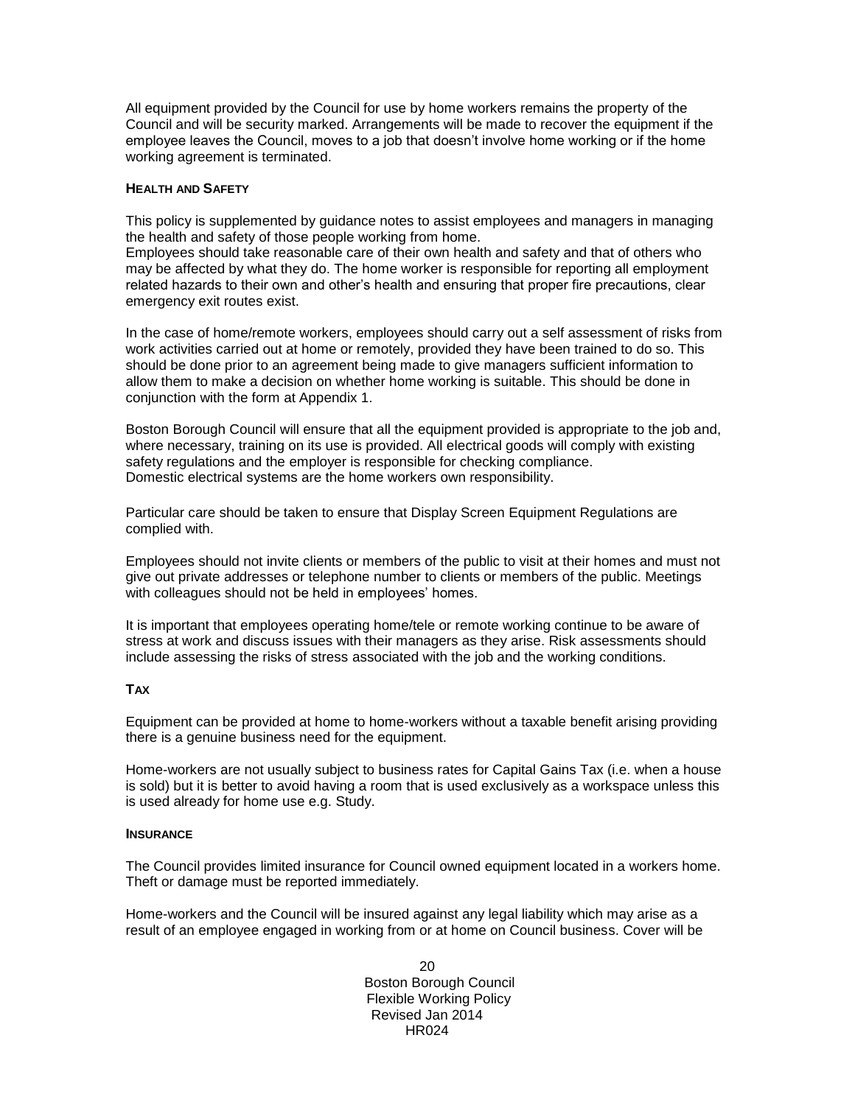All equipment provided by the Council for use by home workers remains the property of the Council and will be security marked. Arrangements will be made to recover the equipment if the employee leaves the Council, moves to a job that doesn't involve home working or if the home working agreement is terminated.

### **HEALTH AND SAFETY**

This policy is supplemented by guidance notes to assist employees and managers in managing the health and safety of those people working from home.

Employees should take reasonable care of their own health and safety and that of others who may be affected by what they do. The home worker is responsible for reporting all employment related hazards to their own and other's health and ensuring that proper fire precautions, clear emergency exit routes exist.

In the case of home/remote workers, employees should carry out a self assessment of risks from work activities carried out at home or remotely, provided they have been trained to do so. This should be done prior to an agreement being made to give managers sufficient information to allow them to make a decision on whether home working is suitable. This should be done in conjunction with the form at Appendix 1.

Boston Borough Council will ensure that all the equipment provided is appropriate to the job and, where necessary, training on its use is provided. All electrical goods will comply with existing safety regulations and the employer is responsible for checking compliance. Domestic electrical systems are the home workers own responsibility.

Particular care should be taken to ensure that Display Screen Equipment Regulations are complied with.

Employees should not invite clients or members of the public to visit at their homes and must not give out private addresses or telephone number to clients or members of the public. Meetings with colleagues should not be held in employees' homes.

It is important that employees operating home/tele or remote working continue to be aware of stress at work and discuss issues with their managers as they arise. Risk assessments should include assessing the risks of stress associated with the job and the working conditions.

### **TAX**

Equipment can be provided at home to home-workers without a taxable benefit arising providing there is a genuine business need for the equipment.

Home-workers are not usually subject to business rates for Capital Gains Tax (i.e. when a house is sold) but it is better to avoid having a room that is used exclusively as a workspace unless this is used already for home use e.g. Study.

#### **INSURANCE**

The Council provides limited insurance for Council owned equipment located in a workers home. Theft or damage must be reported immediately.

Home-workers and the Council will be insured against any legal liability which may arise as a result of an employee engaged in working from or at home on Council business. Cover will be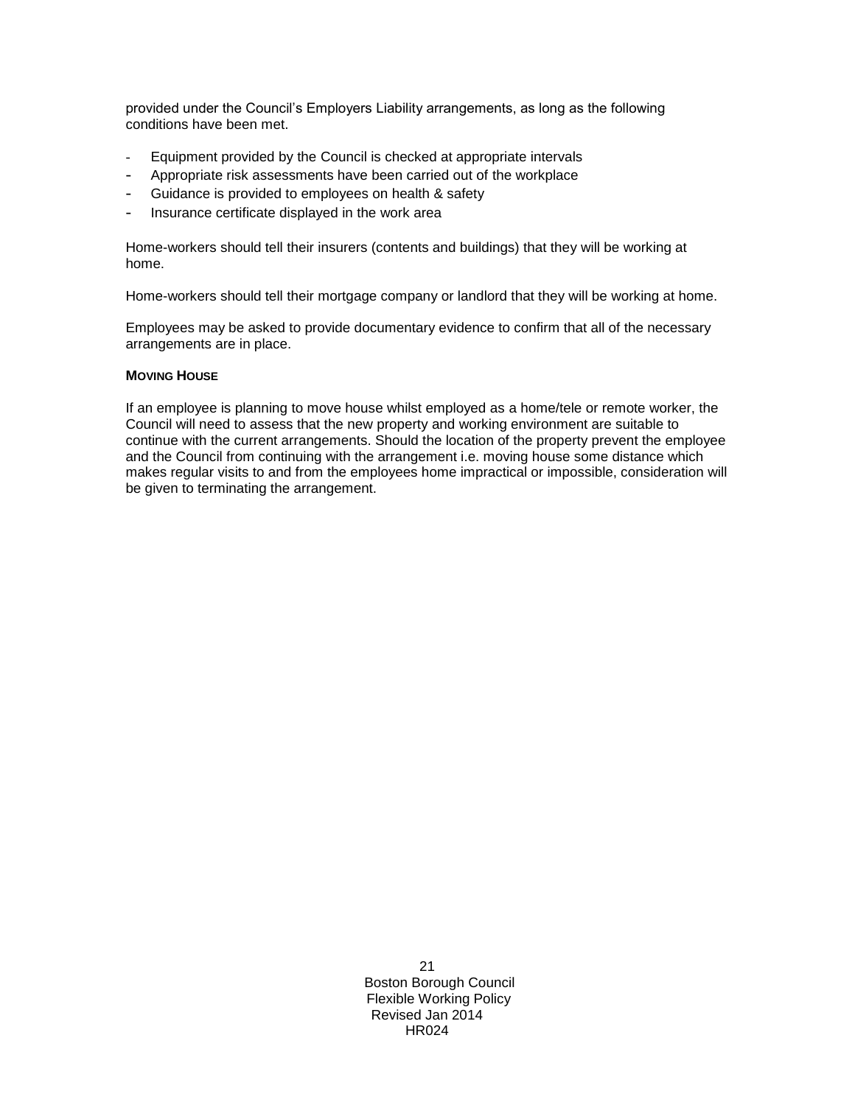provided under the Council's Employers Liability arrangements, as long as the following conditions have been met.

- Equipment provided by the Council is checked at appropriate intervals
- Appropriate risk assessments have been carried out of the workplace
- Guidance is provided to employees on health & safety
- Insurance certificate displayed in the work area

Home-workers should tell their insurers (contents and buildings) that they will be working at home.

Home-workers should tell their mortgage company or landlord that they will be working at home.

Employees may be asked to provide documentary evidence to confirm that all of the necessary arrangements are in place.

### **MOVING HOUSE**

If an employee is planning to move house whilst employed as a home/tele or remote worker, the Council will need to assess that the new property and working environment are suitable to continue with the current arrangements. Should the location of the property prevent the employee and the Council from continuing with the arrangement i.e. moving house some distance which makes regular visits to and from the employees home impractical or impossible, consideration will be given to terminating the arrangement.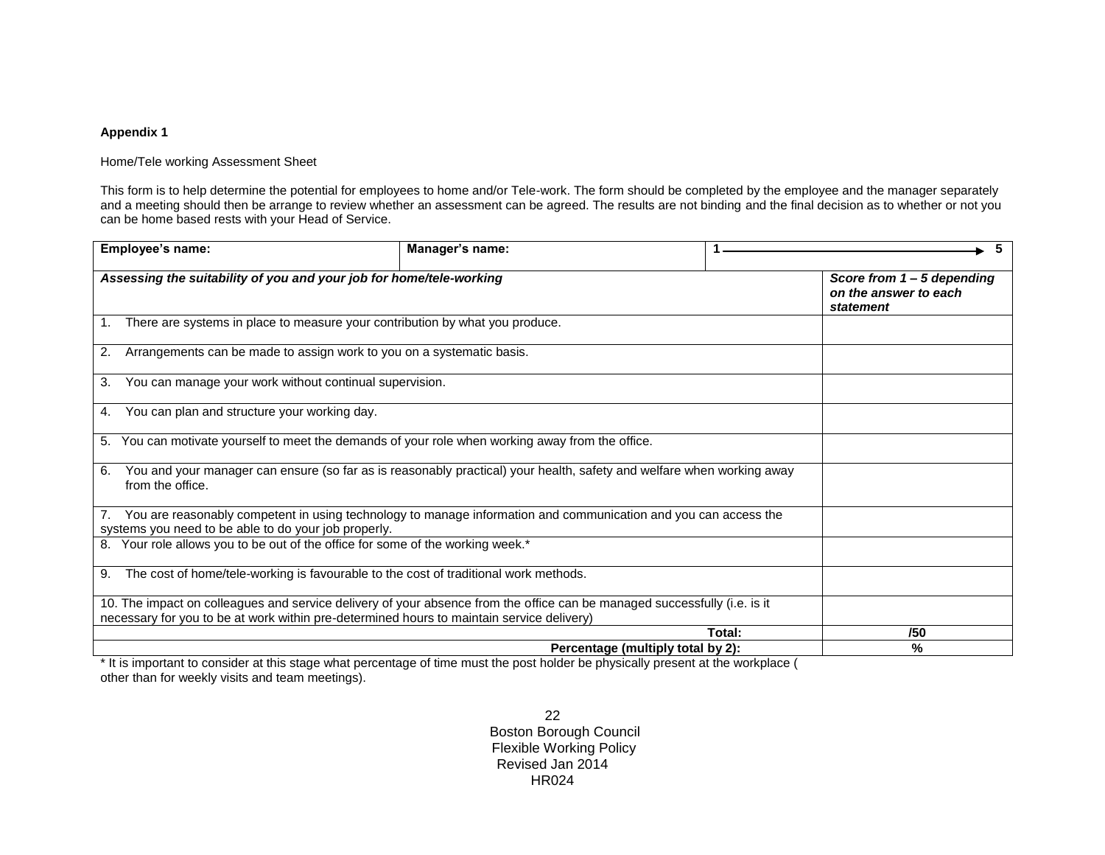### **Appendix 1**

#### Home/Tele working Assessment Sheet

This form is to help determine the potential for employees to home and/or Tele-work. The form should be completed by the employee and the manager separately and a meeting should then be arrange to review whether an assessment can be agreed. The results are not binding and the final decision as to whether or not you can be home based rests with your Head of Service.

| Employee's name:                                                                                 | Manager's name:                                                                                                           | - 5                                                                |
|--------------------------------------------------------------------------------------------------|---------------------------------------------------------------------------------------------------------------------------|--------------------------------------------------------------------|
| Assessing the suitability of you and your job for home/tele-working                              |                                                                                                                           | Score from $1 - 5$ depending<br>on the answer to each<br>statement |
| There are systems in place to measure your contribution by what you produce.<br>1.               |                                                                                                                           |                                                                    |
| Arrangements can be made to assign work to you on a systematic basis.<br>2.                      |                                                                                                                           |                                                                    |
| You can manage your work without continual supervision.<br>3.                                    |                                                                                                                           |                                                                    |
| You can plan and structure your working day.<br>4.                                               |                                                                                                                           |                                                                    |
| 5. You can motivate yourself to meet the demands of your role when working away from the office. |                                                                                                                           |                                                                    |
| 6.<br>from the office.                                                                           | You and your manager can ensure (so far as is reasonably practical) your health, safety and welfare when working away     |                                                                    |
| systems you need to be able to do your job properly.                                             | 7. You are reasonably competent in using technology to manage information and communication and you can access the        |                                                                    |
| 8. Your role allows you to be out of the office for some of the working week.*                   |                                                                                                                           |                                                                    |
| The cost of home/tele-working is favourable to the cost of traditional work methods.<br>9.       |                                                                                                                           |                                                                    |
| necessary for you to be at work within pre-determined hours to maintain service delivery)        | 10. The impact on colleagues and service delivery of your absence from the office can be managed successfully (i.e. is it |                                                                    |
|                                                                                                  |                                                                                                                           | Total:<br>/50                                                      |
| $\sim$ $\sim$ $\sim$ $\sim$                                                                      | Percentage (multiply total by 2):<br>$\sim$                                                                               | $\%$                                                               |

\* It is important to consider at this stage what percentage of time must the post holder be physically present at the workplace ( other than for weekly visits and team meetings).